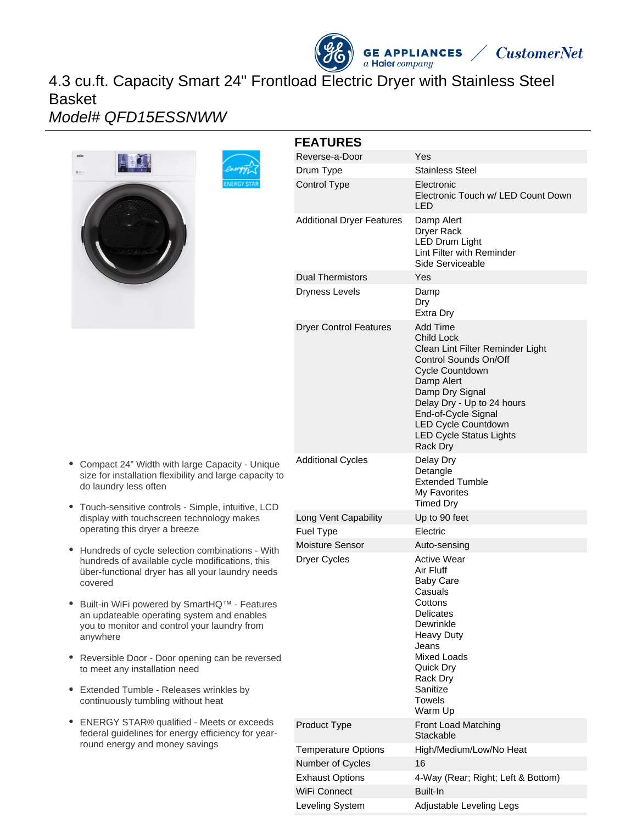# 4.3 cu.ft. Capacity Smart 24" Frontload Electric Dryer with Stainless Steel Basket

### Model# QFD15ESSNWW





#### **FEATURES** Reverse-a-Door Yes Drum Type Stainless Steel Control Type Electronic Electronic Touch w/ LED Count Down LED Additional Dryer Features Damp Alert Dryer Rack LED Drum Light Lint Filter with Reminder Side Serviceable Dual Thermistors Yes Dryness Levels Damp Dry Extra Dry Dryer Control Features Add Time Child Lock Clean Lint Filter Reminder Light Control Sounds On/Off Cycle Countdown Damp Alert Damp Dry Signal Delay Dry - Up to 24 hours End-of-Cycle Signal LED Cycle Countdown LED Cycle Status Lights Rack Dry Additional Cycles **Delay Dry** Detangle Extended Tumble My Favorites Timed Dry Long Vent Capability Up to 90 feet Fuel Type Electric Moisture Sensor Auto-sensing Dryer Cycles **Active Wear** Air Fluff Baby Care Casuals **Cottons Delicates** Dewrinkle Heavy Duty Jeans Mixed Loads Quick Dry Rack Dry **Sanitize** Towels Warm Up Product Type Front Load Matching **Stackable** Temperature Options High/Medium/Low/No Heat Number of Cycles 16 Exhaust Options 4-Way (Rear; Right; Left & Bottom) WiFi Connect Built-In

**GE APPLIANCES** 

a Haier company

**CustomerNet** 

Leveling System Adjustable Leveling Legs

- Compact 24" Width with large Capacity Unique size for installation flexibility and large capacity to do laundry less often
- Touch-sensitive controls Simple, intuitive, LCD display with touchscreen technology makes operating this dryer a breeze
- Hundreds of cycle selection combinations With hundreds of available cycle modifications, this über-functional dryer has all your laundry needs covered
- $\bullet$ Built-in WiFi powered by SmartHQ™ - Features an updateable operating system and enables you to monitor and control your laundry from anywhere
- Reversible Door Door opening can be reversed to meet any installation need
- Extended Tumble Releases wrinkles by continuously tumbling without heat
- ENERGY STAR® qualified Meets or exceeds federal guidelines for energy efficiency for yearround energy and money savings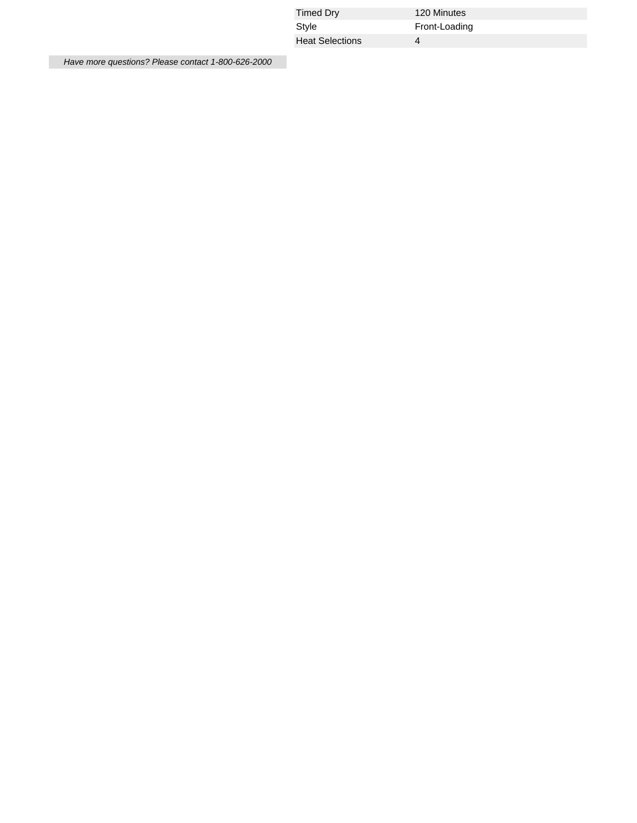| Timed Dry              | 120 Minutes   |  |
|------------------------|---------------|--|
| Style                  | Front-Loading |  |
| <b>Heat Selections</b> |               |  |

Have more questions? Please contact 1-800-626-2000